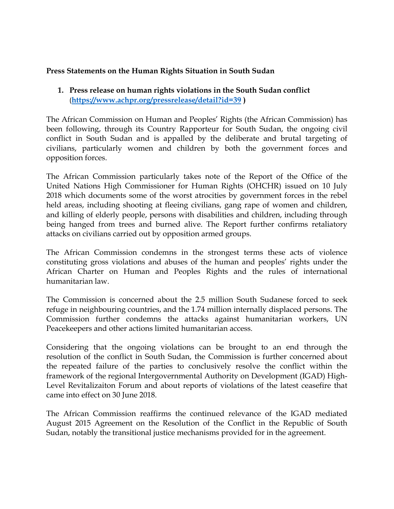### **Press Statements on the Human Rights Situation in South Sudan**

## **1. Press release on human rights violations in the South Sudan conflict** (**<https://www.achpr.org/pressrelease/detail?id=39> )**

The African Commission on Human and Peoples' Rights (the African Commission) has been following, through its Country Rapporteur for South Sudan, the ongoing civil conflict in South Sudan and is appalled by the deliberate and brutal targeting of civilians, particularly women and children by both the governmen<sup>t</sup> forces and opposition forces.

The African Commission particularly takes note of the Report of the Office of the United Nations High Commissioner for Human Rights (OHCHR) issued on 10 July 2018 which documents some of the worst atrocities by governmen<sup>t</sup> forces in the rebel held areas, including shooting at fleeing civilians, gang rape of women and children, and killing of elderly people, persons with disabilities and children, including through being hanged from trees and burned alive. The Report further confirms retaliatory attacks on civilians carried out by opposition armed groups.

The African Commission condemns in the strongest terms these acts of violence constituting gross violations and abuses of the human and peoples' rights under the African Charter on Human and Peoples Rights and the rules of international humanitarian law.

The Commission is concerned about the 2.5 million South Sudanese forced to seek refuge in neighbouring countries, and the 1.74 million internally displaced persons. The Commission further condemns the attacks against humanitarian workers, UN Peacekeepers and other actions limited humanitarian access.

Considering that the ongoing violations can be brought to an end through the resolution of the conflict in South Sudan, the Commission is further concerned about the repeated failure of the parties to conclusively resolve the conflict within the framework of the regional Intergovernmental Authority on Development (IGAD) High-Level Revitalizaiton Forum and about reports of violations of the latest ceasefire that came into effect on 30 June 2018.

The African Commission reaffirms the continued relevance of the IGAD mediated August 2015 Agreement on the Resolution of the Conflict in the Republic of South Sudan, notably the transitional justice mechanisms provided for in the agreement.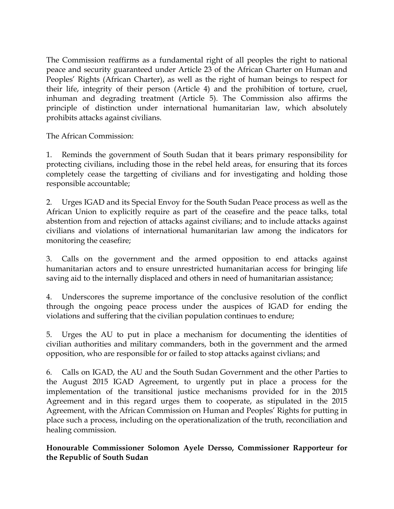The Commission reaffirms as <sup>a</sup> fundamental right of all peoples the right to national peace and security guaranteed under Article 23 of the African Charter on Human and Peoples' Rights (African Charter), as well as the right of human beings to respec<sup>t</sup> for their life, integrity of their person (Article 4) and the prohibition of torture, cruel, inhuman and degrading treatment (Article 5). The Commission also affirms the principle of distinction under international humanitarian law, which absolutely prohibits attacks against civilians.

The African Commission:

1. Reminds the governmen<sup>t</sup> of South Sudan that it bears primary responsibility for protecting civilians, including those in the rebel held areas, for ensuring that its forces completely cease the targetting of civilians and for investigating and holding those responsible accountable;

2. Urges IGAD and its Special Envoy for the South Sudan Peace process as well as the African Union to explicitly require as par<sup>t</sup> of the ceasefire and the peace talks, total abstention from and rejection of attacks against civilians; and to include attacks against civilians and violations of international humanitarian law among the indicators for monitoring the ceasefire;

3. Calls on the governmen<sup>t</sup> and the armed opposition to end attacks against humanitarian actors and to ensure unrestricted humanitarian access for bringing life saving aid to the internally displaced and others in need of humanitarian assistance;

4. Underscores the supreme importance of the conclusive resolution of the conflict through the ongoing peace process under the auspices of IGAD for ending the violations and suffering that the civilian population continues to endure;

5. Urges the AU to pu<sup>t</sup> in place <sup>a</sup> mechanism for documenting the identities of civilian authorities and military commanders, both in the governmen<sup>t</sup> and the armed opposition, who are responsible for or failed to stop attacks against civlians; and

6. Calls on IGAD, the AU and the South Sudan Government and the other Parties to the August 2015 IGAD Agreement, to urgently pu<sup>t</sup> in place <sup>a</sup> process for the implementation of the transitional justice mechanisms provided for in the 2015 Agreement and in this regard urges them to cooperate, as stipulated in the 2015 Agreement, with the African Commission on Human and Peoples' Rights for putting in place such <sup>a</sup> process, including on the operationalization of the truth, reconciliation and healing commission.

**Honourable Commissioner Solomon Ayele Dersso, Commissioner Rapporteur for the Republic of South Sudan**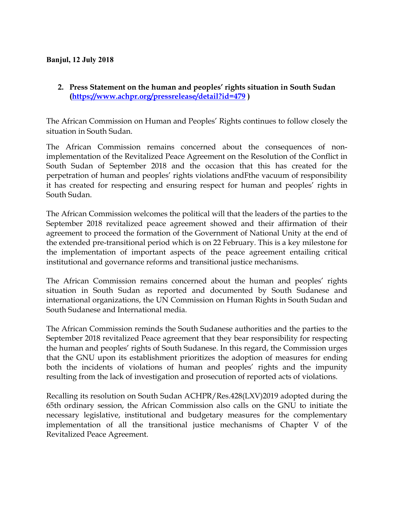#### **Banjul, 12 July 2018**

### **2. Press Statement on the human and peoples' rights situation in South Sudan (<https://www.achpr.org/pressrelease/detail?id=479> )**

The African Commission on Human and Peoples' Rights continues to follow closely the situation in South Sudan.

The African Commission remains concerned about the consequences of nonimplementation of the Revitalized Peace Agreement on the Resolution of the Conflict in South Sudan of September 2018 and the occasion that this has created for the perpetration of human and peoples' rights violations andFthe vacuum of responsibility it has created for respecting and ensuring respec<sup>t</sup> for human and peoples' rights in South Sudan.

The African Commission welcomes the political will that the leaders of the parties to the September 2018 revitalized peace agreemen<sup>t</sup> showed and their affirmation of their agreemen<sup>t</sup> to proceed the formation of the Government of National Unity at the end of the extended pre-transitional period which is on <sup>22</sup> February. This is <sup>a</sup> key milestone for the implementation of important aspects of the peace agreemen<sup>t</sup> entailing critical institutional and governance reforms and transitional justice mechanisms.

The African Commission remains concerned about the human and peoples' rights situation in South Sudan as reported and documented by South Sudanese and international organizations, the UN Commission on Human Rights in South Sudan and South Sudanese and International media.

The African Commission reminds the South Sudanese authorities and the parties to the September 2018 revitalized Peace agreemen<sup>t</sup> that they bear responsibility for respecting the human and peoples' rights of South Sudanese. In this regard, the Commission urges that the GNU upon its establishment prioritizes the adoption of measures for ending both the incidents of violations of human and peoples' rights and the impunity resulting from the lack of investigation and prosecution of reported acts of violations.

Recalling its resolution on South Sudan ACHPR/Res.428(LXV)2019 adopted during the 65th ordinary session, the African Commission also calls on the GNU to initiate the necessary legislative, institutional and budgetary measures for the complementary implementation of all the transitional justice mechanisms of Chapter <sup>V</sup> of the Revitalized Peace Agreement.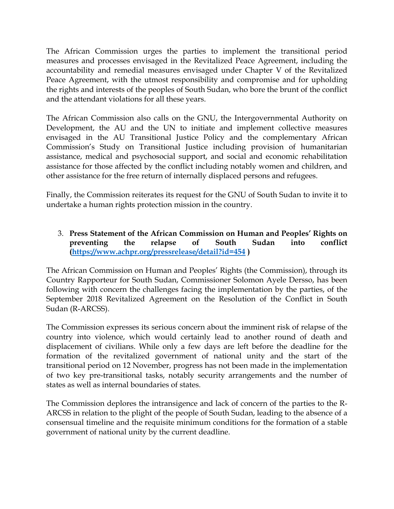The African Commission urges the parties to implement the transitional period measures and processes envisaged in the Revitalized Peace Agreement, including the accountability and remedial measures envisaged under Chapter <sup>V</sup> of the Revitalized Peace Agreement, with the utmost responsibility and compromise and for upholding the rights and interests of the peoples of South Sudan, who bore the brunt of the conflict and the attendant violations for all these years.

The African Commission also calls on the GNU, the Intergovernmental Authority on Development, the AU and the UN to initiate and implement collective measures envisaged in the AU Transitional Justice Policy and the complementary African Commission'<sup>s</sup> Study on Transitional Justice including provision of humanitarian assistance, medical and psychosocial support, and social and economic rehabilitation assistance for those affected by the conflict including notably women and children, and other assistance for the free return of internally displaced persons and refugees.

Finally, the Commission reiterates its reques<sup>t</sup> for the GNU of South Sudan to invite it to undertake <sup>a</sup> human rights protection mission in the country.

3. **Press Statement of the African Commission on Human and Peoples' Rights on preventing the relapse of South Sudan into conflict (<https://www.achpr.org/pressrelease/detail?id=454> )**

The African Commission on Human and Peoples' Rights (the Commission), through its Country Rapporteur for South Sudan, Commissioner Solomon Ayele Dersso, has been following with concern the challenges facing the implementation by the parties, of the September 2018 Revitalized Agreement on the Resolution of the Conflict in South Sudan (R-ARCSS).

The Commission expresses its serious concern about the imminent risk of relapse of the country into violence, which would certainly lead to another round of death and displacement of civilians. While only <sup>a</sup> few days are left before the deadline for the formation of the revitalized governmen<sup>t</sup> of national unity and the start of the transitional period on <sup>12</sup> November, progress has not been made in the implementation of two key pre-transitional tasks, notably security arrangements and the number of states as well as internal boundaries of states.

The Commission deplores the intransigence and lack of concern of the parties to the R-ARCSS in relation to the plight of the people of South Sudan, leading to the absence of <sup>a</sup> consensual timeline and the requisite minimum conditions for the formation of <sup>a</sup> stable governmen<sup>t</sup> of national unity by the current deadline.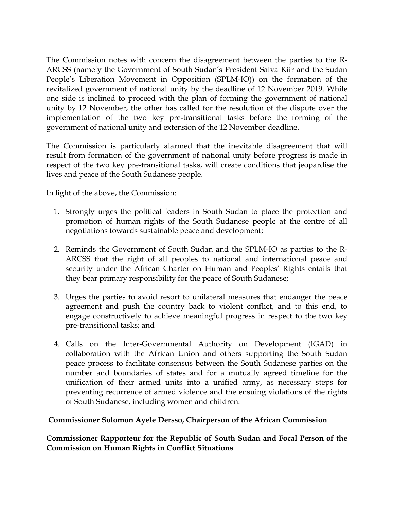The Commission notes with concern the disagreement between the parties to the R-ARCSS (namely the Government of South Sudan'<sup>s</sup> President Salva Kiir and the Sudan People'<sup>s</sup> Liberation Movement in Opposition (SPLM-IO)) on the formation of the revitalized governmen<sup>t</sup> of national unity by the deadline of <sup>12</sup> November 2019. While one side is inclined to proceed with the plan of forming the governmen<sup>t</sup> of national unity by <sup>12</sup> November, the other has called for the resolution of the dispute over the implementation of the two key pre-transitional tasks before the forming of the governmen<sup>t</sup> of national unity and extension of the <sup>12</sup> November deadline.

The Commission is particularly alarmed that the inevitable disagreement that will result from formation of the governmen<sup>t</sup> of national unity before progress is made in respec<sup>t</sup> of the two key pre-transitional tasks, will create conditions that jeopardise the lives and peace of the South Sudanese people.

In light of the above, the Commission:

- 1. Strongly urges the political leaders in South Sudan to place the protection and promotion of human rights of the South Sudanese people at the centre of all negotiations towards sustainable peace and development;
- 2. Reminds the Government of South Sudan and the SPLM-IO as parties to the R-ARCSS that the right of all peoples to national and international peace and security under the African Charter on Human and Peoples' Rights entails that they bear primary responsibility for the peace of South Sudanese;
- 3. Urges the parties to avoid resort to unilateral measures that endanger the peace agreemen<sup>t</sup> and push the country back to violent conflict, and to this end, to engage constructively to achieve meaningful progress in respec<sup>t</sup> to the two key pre-transitional tasks; and
- 4. Calls on the Inter-Governmental Authority on Development (IGAD) in collaboration with the African Union and others supporting the South Sudan peace process to facilitate consensus between the South Sudanese parties on the number and boundaries of states and for <sup>a</sup> mutually agreed timeline for the unification of their armed units into <sup>a</sup> unified army, as necessary steps for preventing recurrence of armed violence and the ensuing violations of the rights of South Sudanese, including women and children.

### **Commissioner Solomon Ayele Dersso, Chairperson of the African Commission**

**Commissioner Rapporteur for the Republic of South Sudan and Focal Person of the Commission on Human Rights in Conflict Situations**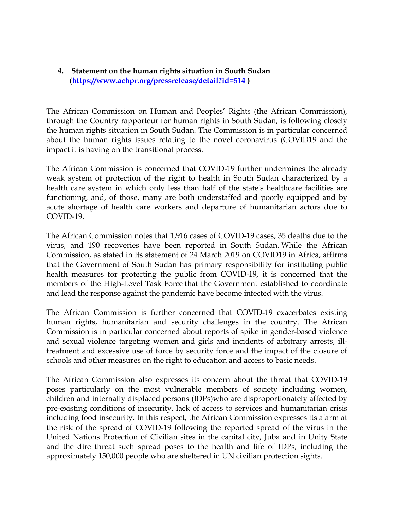## **4. Statement on the human rights situation in South Sudan (<https://www.achpr.org/pressrelease/detail?id=514> )**

The African Commission on Human and Peoples' Rights (the African Commission), through the Country rapporteur for human rights in South Sudan, is following closely the human rights situation in South Sudan. The Commission is in particular concerned about the human rights issues relating to the novel coronavirus (COVID19 and the impact it is having on the transitional process.

The African Commission is concerned that COVID-19 further undermines the already weak system of protection of the right to health in South Sudan characterized by <sup>a</sup> health care system in which only less than half of the state's healthcare facilities are functioning, and, of those, many are both understaffed and poorly equipped and by acute shortage of health care workers and departure of humanitarian actors due to COVID-19.

The African Commission notes that 1,916 cases of COVID-19 cases, 35 deaths due to the virus, and 190 recoveries have been reported in South Sudan. While the African Commission, as stated in its statement of 24 March 2019 on COVID19 in Africa, affirms that the Government of South Sudan has primary responsibility for instituting public health measures for protecting the public from COVID-19, it is concerned that the members of the High-Level Task Force that the Government established to coordinate and lead the response against the pandemic have become infected with the virus.

The African Commission is further concerned that COVID-19 exacerbates existing human rights, humanitarian and security challenges in the country. The African Commission is in particular concerned about reports of spike in gender-based violence and sexual violence targeting women and girls and incidents of arbitrary arrests, illtreatment and excessive use of force by security force and the impact of the closure of schools and other measures on the right to education and access to basic needs.

The African Commission also expresses its concern about the threat that COVID-19 poses particularly on the most vulnerable members of society including women, children and internally displaced persons (IDPs)who are disproportionately affected by pre-existing conditions of insecurity, lack of access to services and humanitarian crisis including food insecurity. In this respect, the African Commission expresses its alarm at the risk of the spread of COVID-19 following the reported spread of the virus in the United Nations Protection of Civilian sites in the capital city, Juba and in Unity State and the dire threat such spread poses to the health and life of IDPs, including the approximately 150,000 people who are sheltered in UN civilian protection sights.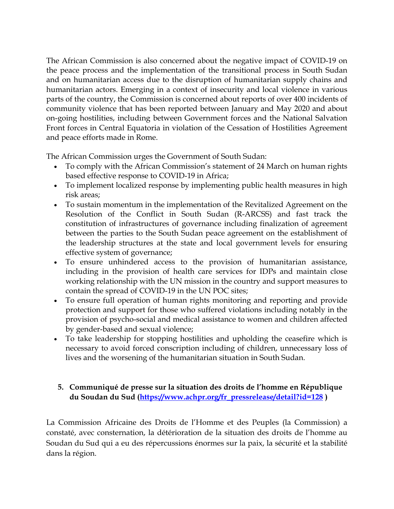The African Commission is also concerned about the negative impact of COVID-19 on the peace process and the implementation of the transitional process in South Sudan and on humanitarian access due to the disruption of humanitarian supply chains and humanitarian actors. Emerging in <sup>a</sup> context of insecurity and local violence in various parts of the country, the Commission is concerned about reports of over 400 incidents of community violence that has been reported between January and May 2020 and about on-going hostilities, including between Government forces and the National Salvation Front forces in Central Equatoria in violation of the Cessation of Hostilities Agreement and peace efforts made in Rome.

The African Commission urges the Government of South Sudan:

- To comply with the African Commission'<sup>s</sup> statement of <sup>24</sup> March on human rights based effective response to COVID-19 in Africa;
- To implement localized response by implementing public health measures in high risk areas;
- To sustain momentum in the implementation of the Revitalized Agreement on the Resolution of the Conflict in South Sudan (R-ARCSS) and fast track the constitution of infrastructures of governance including finalization of agreemen<sup>t</sup> between the parties to the South Sudan peace agreemen<sup>t</sup> on the establishment of the leadership structures at the state and local governmen<sup>t</sup> levels for ensuring effective system of governance;
- To ensure unhindered access to the provision of humanitarian assistance, including in the provision of health care services for IDPs and maintain close working relationship with the UN mission in the country and suppor<sup>t</sup> measures to contain the spread of COVID-19 in the UN POC sites;
- To ensure full operation of human rights monitoring and reporting and provide protection and suppor<sup>t</sup> for those who suffered violations including notably in the provision of psycho-social and medical assistance to women and children affected by gender-based and sexual violence;
- To take leadership for stopping hostilities and upholding the ceasefire which is necessary to avoid forced conscription including of children, unnecessary loss of lives and the worsening of the humanitarian situation in South Sudan.

# **5. Communiqué de presse sur la situation des droits de l'homme en République du Soudan du Sud [\(https://www.achpr.org/fr\\_pressrelease/detail?id=128](https://www.achpr.org/fr_pressrelease/detail?id=128) )**

La Commission Africaine des Droits de l'Homme et des Peuples (la Commission) <sup>a</sup> constaté, avec consternation, la détérioration de la situation des droits de l'homme au Soudan du Sud qu<sup>i</sup> <sup>a</sup> eu des répercussions énormes sur la paix, la sécurité et la stabilité dans la région.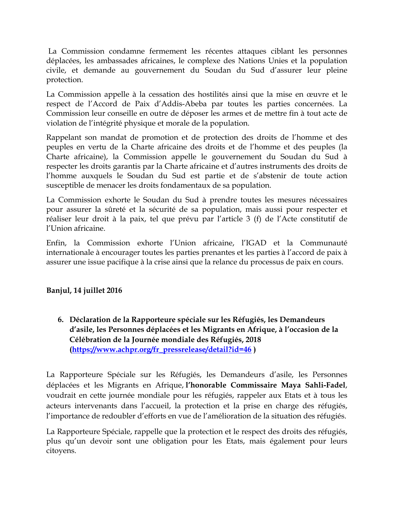La Commission condamne fermement les récentes attaques ciblant les personnes déplacées, les ambassades africaines, le complexe des Nations Unies et la population civile, et demande au gouvernemen<sup>t</sup> du Soudan du Sud d'assurer leur pleine protection.

La Commission appelle <sup>à</sup> la cessation des hostilités ainsi que la mise en <sup>œ</sup>uvre et le respec<sup>t</sup> de l'Accord de Paix d'Addis-Abeba par toutes les parties concernées. La Commission leur conseille en outre de déposer les armes et de mettre fin <sup>à</sup> tout acte de violation de l'intégrité physique et morale de la population.

Rappelant son mandat de promotion et de protection des droits de l'homme et des peuples en vertu de la Charte africaine des droits et de l'homme et des peuples (la Charte africaine), la Commission appelle le gouvernemen<sup>t</sup> du Soudan du Sud <sup>à</sup> respecter les droits garantis par la Charte africaine et d'autres instruments des droits de l'homme auxquels le Soudan du Sud est partie et de <sup>s</sup>'abstenir de toute action susceptible de menacer les droits fondamentaux de sa population.

La Commission exhorte le Soudan du Sud <sup>à</sup> prendre toutes les mesures nécessaires pour assurer la sûreté et la sécurité de sa population, mais aussi pour respecter et réaliser leur droit <sup>à</sup> la paix, tel que prévu par l'article 3 (f) de l'Acte constitutif de l'Union africaine.

Enfin, la Commission exhorte l'Union africaine, l'IGAD et la Communauté internationale <sup>à</sup> encourager toutes les parties prenantes et les parties <sup>à</sup> l'accord de paix <sup>à</sup> assurer une issue pacifique <sup>à</sup> la crise ainsi que la relance du processus de paix en cours.

# **Banjul, <sup>14</sup> juillet 2016**

**6. Déclaration de la Rapporteure spéciale sur les Réfugiés, les Demandeurs d'asile, les Personnes déplacées et les Migrants en Afrique, <sup>à</sup> l'occasion de la Célébration de la Journée mondiale des Réfugiés, 2018 ([https://www.achpr.org/fr\\_pressrelease/detail?id=46](https://www.achpr.org/fr_pressrelease/detail?id=46) )**

La Rapporteure Spéciale sur les Réfugiés, les Demandeurs d'asile, les Personnes déplacées et les Migrants en Afrique, **l'honorable Commissaire Maya Sahli-Fadel**, voudrait en cette journée mondiale pour les réfugiés, rappeler aux Etats et <sup>à</sup> tous les acteurs intervenants dans l'accueil, la protection et la prise en charge des réfugiés, l'importance de redoubler d'efforts en vue de l'amélioration de la situation des réfugiés.

La Rapporteure Spéciale, rappelle que la protection et le respec<sup>t</sup> des droits des réfugiés, plus qu'un devoir sont une obligation pour les Etats, mais également pour leurs citoyens.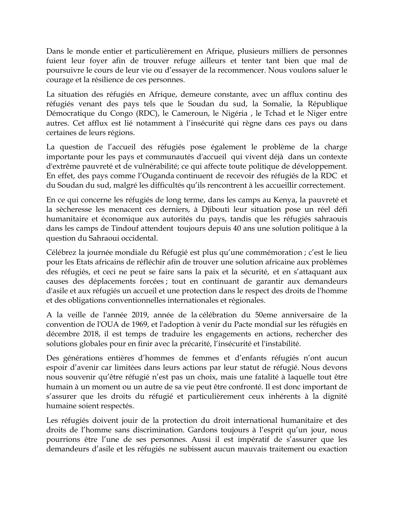Dans le monde entier et particulièrement en Afrique, plusieurs milliers de personnes fuient leur foyer afin de trouver refuge ailleurs et tenter tant bien que mal de poursuivre le cours de leur vie ou d'essayer de la recommencer. Nous voulons saluer le courage et la résilience de ces personnes.

La situation des réfugiés en Afrique, demeure constante, avec un afflux continu des réfugiés venant des pays tels que le Soudan du sud, la Somalie, la République Démocratique du Congo (RDC), le Cameroun, le Nigéria , le Tchad et le Niger entre autres. Cet afflux est lié notamment <sup>à</sup> l'insécurité qu<sup>i</sup> règne dans ces pays ou dans certaines de leurs régions.

La question de l'accueil des réfugiés pose également le problème de la charge importante pour les pays et communautés d'accueil qu<sup>i</sup> vivent déjà dans un contexte d'extrême pauvreté et de vulnérabilité; ce qu<sup>i</sup> affecte toute politique de développement. En effet, des pays comme l'Ouganda continuent de recevoir des réfugiés de la RDC et du Soudan du sud, malgré les difficultés qu'ils rencontrent <sup>à</sup> les accueillir correctement.

En ce qu<sup>i</sup> concerne les réfugiés de long terme, dans les camps au Kenya, la pauvreté et la sècheresse les menacent ces derniers, <sup>à</sup> Djibouti leur situation pose un réel défi humanitaire et économique aux autorités du pays, tandis que les réfugiés sahraouis dans les camps de Tindouf attendent toujours depuis 40 ans une solution politique <sup>à</sup> la question du Sahraoui occidental.

Célébrez la journée mondiale du Réfugié est plus qu'une commémoration ; <sup>c</sup>'est le lieu pour les Etats africains de réfléchir afin de trouver une solution africaine aux problèmes des réfugiés, et ceci ne peu<sup>t</sup> se faire sans la paix et la sécurité, et en <sup>s</sup>'attaquant aux causes des déplacements forcées ; tout en continuant de garantir aux demandeurs d'asile et aux réfugiés un accueil et une protection dans le respec<sup>t</sup> des droits de l'homme et des obligations conventionnelles internationales et régionales.

A la veille de l'année 2019, année de la célébration du 50eme anniversaire de la convention de l'OUA de 1969, et l'adoption <sup>à</sup> venir du Pacte mondial sur les réfugiés en décembre 2018, il est temps de traduire les engagements en actions, rechercher des solutions globales pour en finir avec la précarité, l'insécurité et l'instabilité.

Des générations entières d'hommes de femmes et d'enfants réfugiés <sup>n</sup>'ont aucun espoir d'avenir car limitées dans leurs actions par leur statut de réfugié. Nous devons nous souvenir qu'être réfugié <sup>n</sup>'est pas un choix, mais une fatalité <sup>à</sup> laquelle tout être humain <sup>à</sup> un moment ou un autre de sa vie peu<sup>t</sup> être confronté. Il est donc important de <sup>s</sup>'assurer que les droits du réfugié et particulièrement ceux inhérents <sup>à</sup> la dignité humaine soient respectés.

Les réfugiés doivent jouir de la protection du droit international humanitaire et des droits de l'homme sans discrimination. Gardons toujours <sup>à</sup> l'esprit qu'un jour, nous pourrions être l'une de ses personnes. Aussi il est impératif de <sup>s</sup>'assurer que les demandeurs d'asile et les réfugiés ne subissent aucun mauvais traitement ou exaction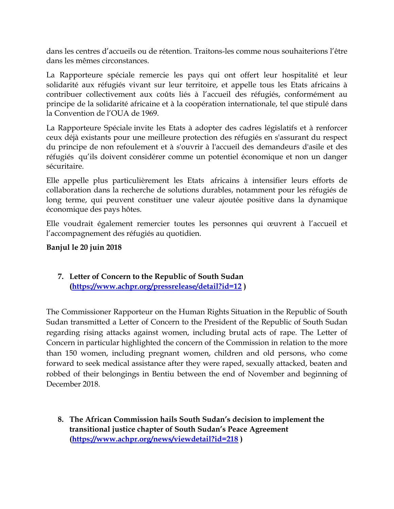dans les centres d'accueils ou de rétention. Traitons-les comme nous souhaiterions l'être dans les mêmes circonstances.

La Rapporteure spéciale remercie les pays qu<sup>i</sup> ont offert leur hospitalité et leur solidarité aux réfugiés vivant sur leur territoire, et appelle tous les Etats africains <sup>à</sup> contribuer collectivement aux coûts liés <sup>à</sup> l'accueil des réfugiés, conformément au principe de la solidarité africaine et <sup>à</sup> la coopération internationale, tel que stipulé dans la Convention de l'OUA de 1969.

La Rapporteure Spéciale invite les Etats <sup>à</sup> adopter des cadres législatifs et <sup>à</sup> renforcer ceux déjà existants pour une meilleure protection des réfugiés en <sup>s</sup>'assurant du respec<sup>t</sup> du principe de non refoulement et <sup>à</sup> <sup>s</sup>'ouvrir <sup>à</sup> l'accueil des demandeurs d'asile et des réfugiés qu'ils doivent considérer comme un potentiel économique et non un danger sécuritaire.

Elle appelle plus particulièrement les Etats africains <sup>à</sup> intensifier leurs efforts de collaboration dans la recherche de solutions durables, notamment pour les réfugiés de long terme, qu<sup>i</sup> peuven<sup>t</sup> constituer une valeur ajoutée positive dans la dynamique économique des pays hôtes.

Elle voudrait également remercier toutes les personnes qu<sup>i</sup> <sup>œ</sup>uvrent <sup>à</sup> l'accueil et l'accompagnemen<sup>t</sup> des réfugiés au quotidien.

### **Banjul le 20 juin 2018**

# **7. Letter of Concern to the Republic of South Sudan (<https://www.achpr.org/pressrelease/detail?id=12> )**

The Commissioner Rapporteur on the Human Rights Situation in the Republic of South Sudan transmitted <sup>a</sup> Letter of Concern to the President of the Republic of South Sudan regarding rising attacks against women, including brutal acts of rape. The Letter of Concern in particular highlighted the concern of the Commission in relation to the more than 150 women, including pregnan<sup>t</sup> women, children and old persons, who come forward to seek medical assistance after they were raped, sexually attacked, beaten and robbed of their belongings in Bentiu between the end of November and beginning of December 2018.

**8. The African Commission hails South Sudan'<sup>s</sup> decision to implement the transitional justice chapter of South Sudan'<sup>s</sup> Peace Agreement (<https://www.achpr.org/news/viewdetail?id=218> )**